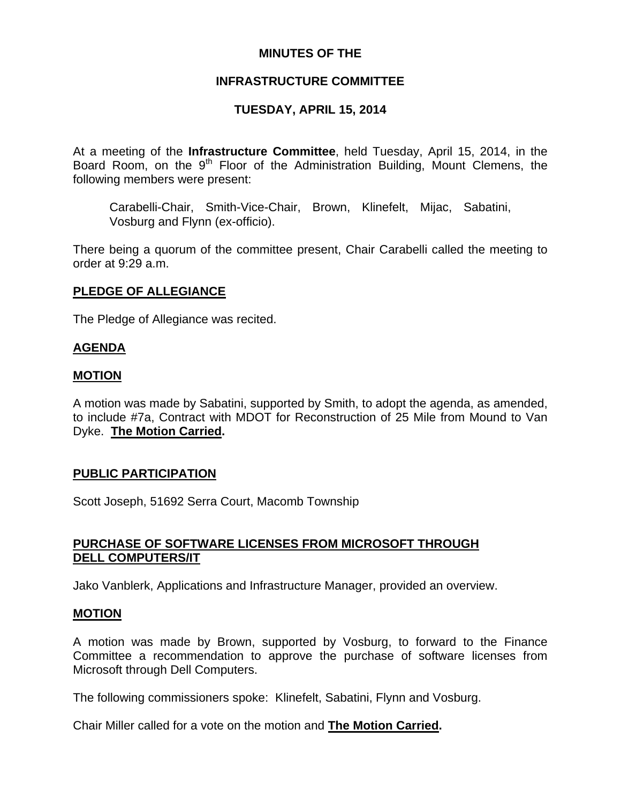# **MINUTES OF THE**

# **INFRASTRUCTURE COMMITTEE**

# **TUESDAY, APRIL 15, 2014**

At a meeting of the **Infrastructure Committee**, held Tuesday, April 15, 2014, in the Board Room, on the  $9<sup>th</sup>$  Floor of the Administration Building, Mount Clemens, the following members were present:

Carabelli-Chair, Smith-Vice-Chair, Brown, Klinefelt, Mijac, Sabatini, Vosburg and Flynn (ex-officio).

There being a quorum of the committee present, Chair Carabelli called the meeting to order at 9:29 a.m.

# **PLEDGE OF ALLEGIANCE**

The Pledge of Allegiance was recited.

## **AGENDA**

## **MOTION**

A motion was made by Sabatini, supported by Smith, to adopt the agenda, as amended, to include #7a, Contract with MDOT for Reconstruction of 25 Mile from Mound to Van Dyke. **The Motion Carried.** 

# **PUBLIC PARTICIPATION**

Scott Joseph, 51692 Serra Court, Macomb Township

# **PURCHASE OF SOFTWARE LICENSES FROM MICROSOFT THROUGH DELL COMPUTERS/IT**

Jako Vanblerk, Applications and Infrastructure Manager, provided an overview.

## **MOTION**

A motion was made by Brown, supported by Vosburg, to forward to the Finance Committee a recommendation to approve the purchase of software licenses from Microsoft through Dell Computers.

The following commissioners spoke: Klinefelt, Sabatini, Flynn and Vosburg.

Chair Miller called for a vote on the motion and **The Motion Carried.**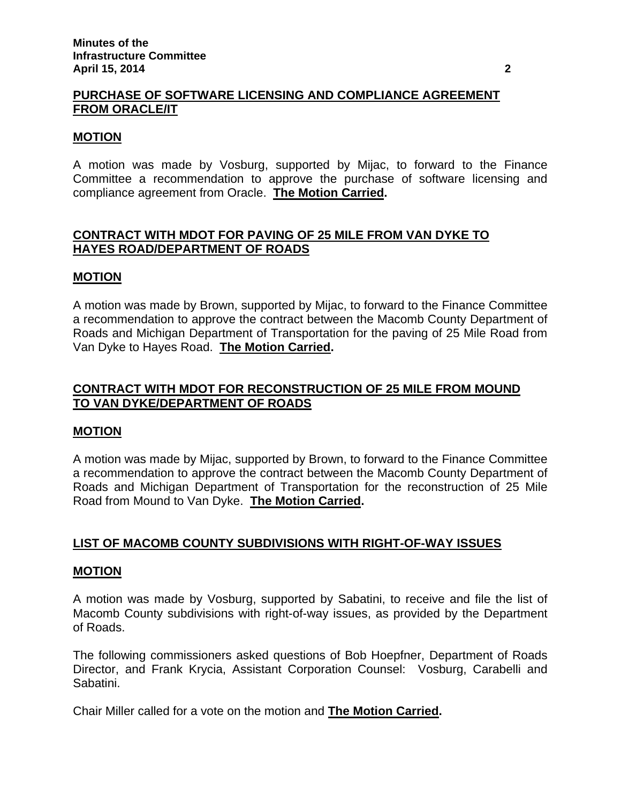# **PURCHASE OF SOFTWARE LICENSING AND COMPLIANCE AGREEMENT FROM ORACLE/IT**

#### **MOTION**

A motion was made by Vosburg, supported by Mijac, to forward to the Finance Committee a recommendation to approve the purchase of software licensing and compliance agreement from Oracle. **The Motion Carried.** 

# **CONTRACT WITH MDOT FOR PAVING OF 25 MILE FROM VAN DYKE TO HAYES ROAD/DEPARTMENT OF ROADS**

#### **MOTION**

A motion was made by Brown, supported by Mijac, to forward to the Finance Committee a recommendation to approve the contract between the Macomb County Department of Roads and Michigan Department of Transportation for the paving of 25 Mile Road from Van Dyke to Hayes Road. **The Motion Carried.** 

## **CONTRACT WITH MDOT FOR RECONSTRUCTION OF 25 MILE FROM MOUND TO VAN DYKE/DEPARTMENT OF ROADS**

## **MOTION**

A motion was made by Mijac, supported by Brown, to forward to the Finance Committee a recommendation to approve the contract between the Macomb County Department of Roads and Michigan Department of Transportation for the reconstruction of 25 Mile Road from Mound to Van Dyke. **The Motion Carried.** 

# **LIST OF MACOMB COUNTY SUBDIVISIONS WITH RIGHT-OF-WAY ISSUES**

#### **MOTION**

A motion was made by Vosburg, supported by Sabatini, to receive and file the list of Macomb County subdivisions with right-of-way issues, as provided by the Department of Roads.

The following commissioners asked questions of Bob Hoepfner, Department of Roads Director, and Frank Krycia, Assistant Corporation Counsel: Vosburg, Carabelli and Sabatini.

Chair Miller called for a vote on the motion and **The Motion Carried.**